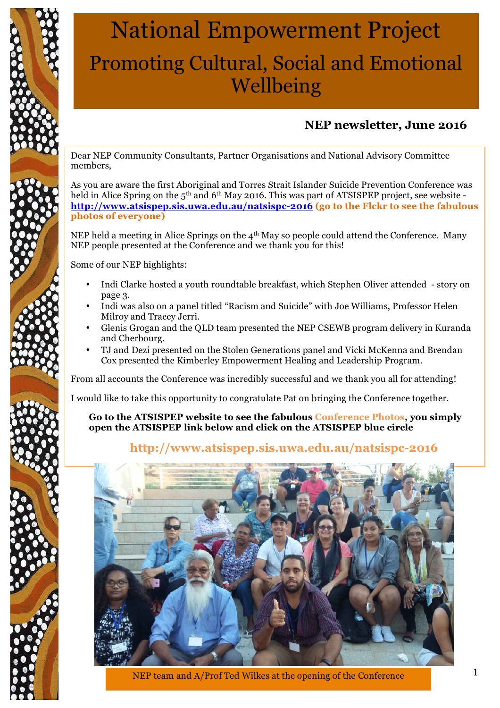

# National Empowerment Project Promoting Cultural, Social and Emotional Wellbeing

## **NEP newsletter, June 2016**

Dear NEP Community Consultants, Partner Organisations and National Advisory Committee members,

As you are aware the first Aboriginal and Torres Strait Islander Suicide Prevention Conference was held in Alice Spring on the 5<sup>th</sup> and 6<sup>th</sup> May 2016. This was part of ATSISPEP project, see website **http://www.atsispep.sis.uwa.edu.au/natsispc-2016 (go to the Flckr to see the fabulous photos of everyone)**

NEP held a meeting in Alice Springs on the  $4<sup>th</sup>$  May so people could attend the Conference. Many NEP people presented at the Conference and we thank you for this!

Some of our NEP highlights:

- Indi Clarke hosted a youth roundtable breakfast, which Stephen Oliver attended story on page 3.
- Indi was also on a panel titled "Racism and Suicide" with Joe Williams, Professor Helen Milroy and Tracey Jerri.
- Glenis Grogan and the QLD team presented the NEP CSEWB program delivery in Kuranda and Cherbourg.
- TJ and Dezi presented on the Stolen Generations panel and Vicki McKenna and Brendan Cox presented the Kimberley Empowerment Healing and Leadership Program.

From all accounts the Conference was incredibly successful and we thank you all for attending!

I would like to take this opportunity to congratulate Pat on bringing the Conference together.

**Go to the ATSISPEP website to see the fabulous Conference Photos, you simply open the ATSISPEP link below and click on the ATSISPEP blue circle**

#### **http://www.atsispep.sis.uwa.edu.au/natsispc-2016**



NEP team and A/Prof Ted Wilkes at the opening of the Conference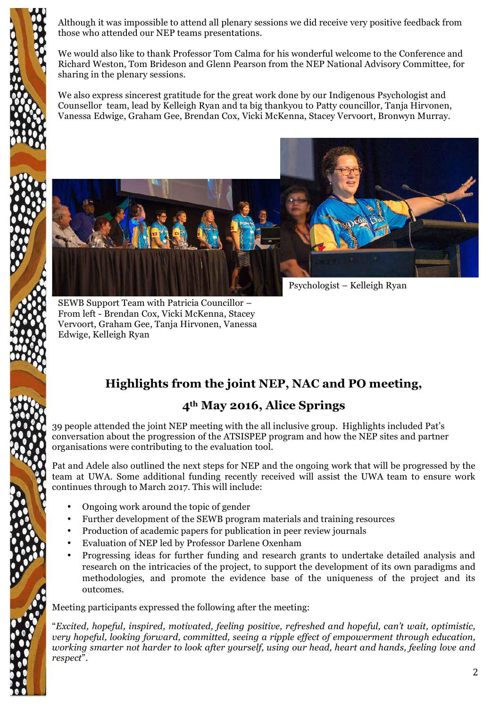Although it was impossible to attend all plenary sessions we did receive very positive feedback from those who attended our NEP teams presentations.

We would also like to thank Professor Tom Calma for his wonderful welcome to the Conference and Richard Weston, Tom Brideson and Glenn Pearson from the NEP National Advisory Committee, for sharing in the plenary sessions.

We also express sincerest gratitude for the great work done by our Indigenous Psychologist and Counsellor team, lead by Kelleigh Ryan and ta big thankyou to Patty councillor, Tanja Hirvonen, Vanessa Edwige, Graham Gee, Brendan Cox, Vicki McKenna, Stacey Vervoort, Bronwyn Murray.



Psychologist – Kelleigh Ryan

SEWB Support Team with Patricia Councillor – From left - Brendan Cox, Vicki McKenna, Stacey Vervoort, Graham Gee, Tanja Hirvonen, Vanessa Edwige, Kelleigh Ryan

## **Highlights from the joint NEP, NAC and PO meeting,**

#### **4th May 2016, Alice Springs**

39 people attended the joint NEP meeting with the all inclusive group. Highlights included Pat's conversation about the progression of the ATSISPEP program and how the NEP sites and partner organisations were contributing to the evaluation tool.

Pat and Adele also outlined the next steps for NEP and the ongoing work that will be progressed by the team at UWA. Some additional funding recently received will assist the UWA team to ensure work continues through to March 2017. This will include:

- Ongoing work around the topic of gender
- Further development of the SEWB program materials and training resources
- Production of academic papers for publication in peer review journals
- Evaluation of NEP led by Professor Darlene Oxenham
- Progressing ideas for further funding and research grants to undertake detailed analysis and research on the intricacies of the project, to support the development of its own paradigms and methodologies, and promote the evidence base of the uniqueness of the project and its outcomes.

Meeting participants expressed the following after the meeting:

"*Excited, hopeful, inspired, motivated, feeling positive, refreshed and hopeful, can't wait, optimistic, very hopeful, looking forward, committed, seeing a ripple effect of empowerment through education, working smarter not harder to look after yourself, using our head, heart and hands, feeling love and respect*".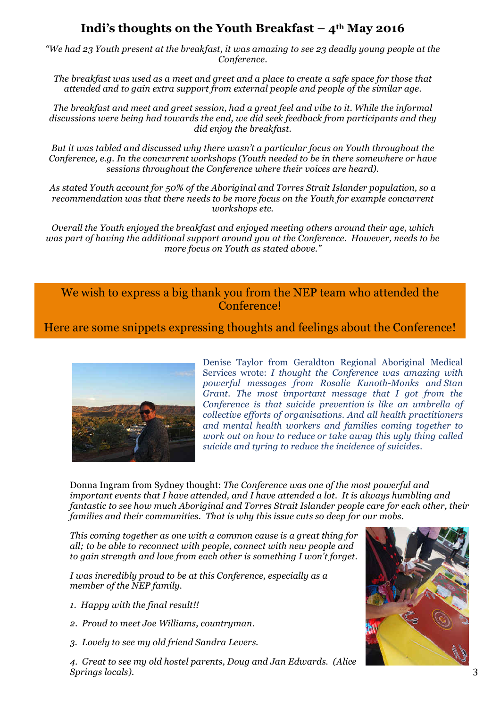#### **Indi's thoughts on the Youth Breakfast – 4th May 2016**

*"We had 23 Youth present at the breakfast, it was amazing to see 23 deadly young people at the Conference.*

*The breakfast was used as a meet and greet and a place to create a safe space for those that attended and to gain extra support from external people and people of the similar age.*

*The breakfast and meet and greet session, had a great feel and vibe to it. While the informal discussions were being had towards the end, we did seek feedback from participants and they did enjoy the breakfast.*

*But it was tabled and discussed why there wasn't a particular focus on Youth throughout the Conference, e.g. In the concurrent workshops (Youth needed to be in there somewhere or have sessions throughout the Conference where their voices are heard).*

*As stated Youth account for 50% of the Aboriginal and Torres Strait Islander population, so a recommendation was that there needs to be more focus on the Youth for example concurrent workshops etc.*

*Overall the Youth enjoyed the breakfast and enjoyed meeting others around their age, which was part of having the additional support around you at the Conference. However, needs to be more focus on Youth as stated above."*

We wish to express a big thank you from the NEP team who attended the **Conference!** 

Here are some snippets expressing thoughts and feelings about the Conference!



Denise Taylor from Geraldton Regional Aboriginal Medical Services wrote: *I thought the Conference was amazing with powerful messages from Rosalie Kunoth-Monks and Stan Grant. The most important message that I got from the Conference is that suicide prevention is like an umbrella of collective efforts of organisations. And all health practitioners and mental health workers and families coming together to work out on how to reduce or take away this ugly thing called suicide and tyring to reduce the incidence of suicides.*

Donna Ingram from Sydney thought: *The Conference was one of the most powerful and important events that I have attended, and I have attended a lot. It is always humbling and fantastic to see how much Aboriginal and Torres Strait Islander people care for each other, their families and their communities. That is why this issue cuts so deep for our mobs.* 

*This coming together as one with a common cause is a great thing for all; to be able to reconnect with people, connect with new people and to gain strength and love from each other is something I won't forget.*

*I was incredibly proud to be at this Conference, especially as a member of the NEP family.*

- *1. Happy with the final result!!*
- *2. Proud to meet Joe Williams, countryman.*
- *3. Lovely to see my old friend Sandra Levers.*

*4. Great to see my old hostel parents, Doug and Jan Edwards. (Alice Springs locals).*

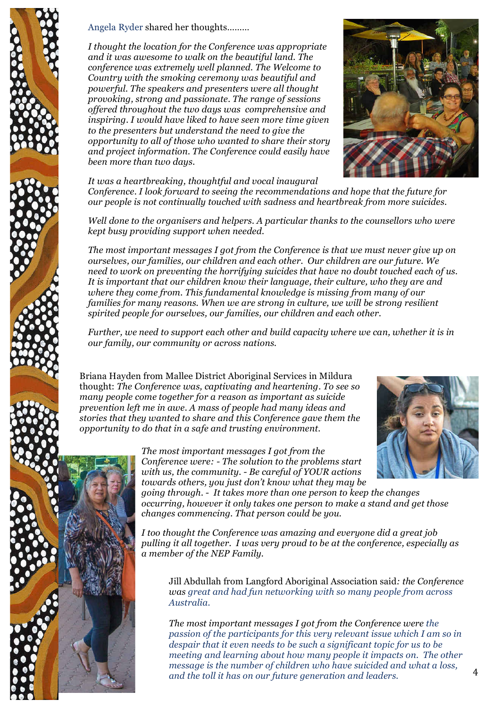

Angela Ryder shared her thoughts………

*I thought the location for the Conference was appropriate and it was awesome to walk on the beautiful land. The conference was extremely well planned. The Welcome to Country with the smoking ceremony was beautiful and powerful. The speakers and presenters were all thought provoking, strong and passionate. The range of sessions offered throughout the two days was comprehensive and inspiring. I would have liked to have seen more time given to the presenters but understand the need to give the opportunity to all of those who wanted to share their story and project information. The Conference could easily have been more than two days.* 

*It was a heartbreaking, thoughtful and vocal inaugural Conference. I look forward to seeing the recommendations and hope that the future for our people is not continually touched with sadness and heartbreak from more suicides.* 

*Well done to the organisers and helpers. A particular thanks to the counsellors who were kept busy providing support when needed.* 

*The most important messages I got from the Conference is that we must never give up on ourselves, our families, our children and each other. Our children are our future. We need to work on preventing the horrifying suicides that have no doubt touched each of us. It is important that our children know their language, their culture, who they are and where they come from. This fundamental knowledge is missing from many of our families for many reasons. When we are strong in culture, we will be strong resilient spirited people for ourselves, our families, our children and each other.* 

*Further, we need to support each other and build capacity where we can, whether it is in our family, our community or across nations.*

Briana Hayden from Mallee District Aboriginal Services in Mildura thought: *The Conference was, captivating and heartening. To see so many people come together for a reason as important as suicide prevention left me in awe. A mass of people had many ideas and stories that they wanted to share and this Conference gave them the opportunity to do that in a safe and trusting environment.* 

> *The most important messages I got from the Conference were: - The solution to the problems start with us, the community. - Be careful of YOUR actions towards others, you just don't know what they may be*

*going through. - It takes more than one person to keep the changes occurring, however it only takes one person to make a stand and get those changes commencing. That person could be you.*

*I too thought the Conference was amazing and everyone did a great job pulling it all together. I was very proud to be at the conference, especially as a member of the NEP Family.*

Jill Abdullah from Langford Aboriginal Association said*: the Conference was great and had fun networking with so many people from across Australia.* 

*The most important messages I got from the Conference were the passion of the participants for this very relevant issue which I am so in despair that it even needs to be such a significant topic for us to be meeting and learning about how many people it impacts on. The other message is the number of children who have suicided and what a loss, and the toll it has on our future generation and leaders*.